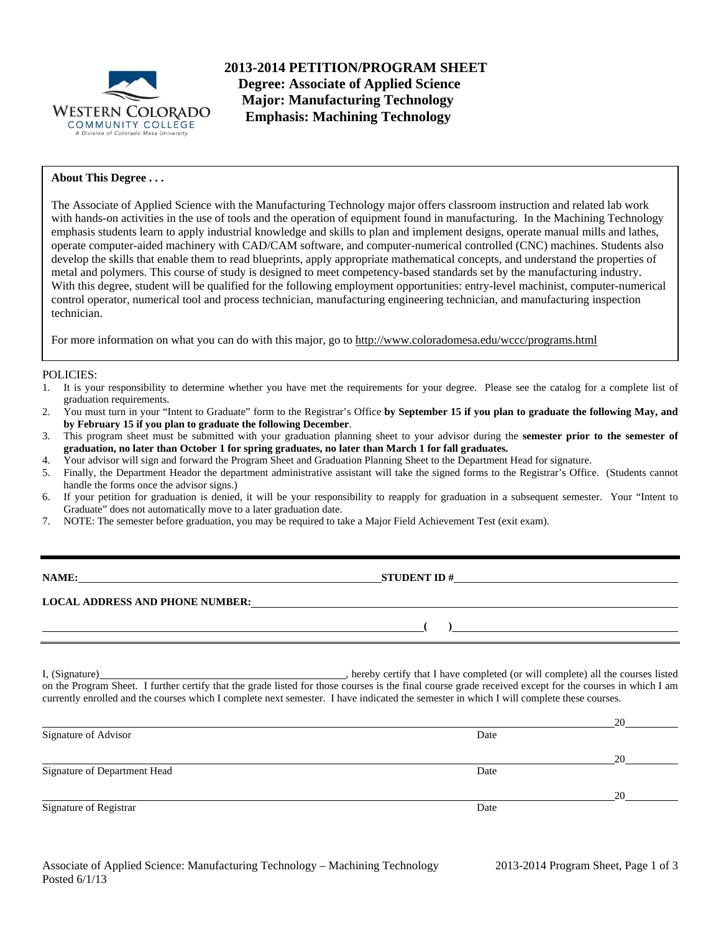

**2013-2014 PETITION/PROGRAM SHEET Degree: Associate of Applied Science Major: Manufacturing Technology Emphasis: Machining Technology** 

## **About This Degree . . .**

The Associate of Applied Science with the Manufacturing Technology major offers classroom instruction and related lab work with hands-on activities in the use of tools and the operation of equipment found in manufacturing. In the Machining Technology emphasis students learn to apply industrial knowledge and skills to plan and implement designs, operate manual mills and lathes, operate computer-aided machinery with CAD/CAM software, and computer-numerical controlled (CNC) machines. Students also develop the skills that enable them to read blueprints, apply appropriate mathematical concepts, and understand the properties of metal and polymers. This course of study is designed to meet competency-based standards set by the manufacturing industry. With this degree, student will be qualified for the following employment opportunities: entry-level machinist, computer-numerical control operator, numerical tool and process technician, manufacturing engineering technician, and manufacturing inspection technician.

For more information on what you can do with this major, go to http://www.coloradomesa.edu/wccc/programs.html

#### POLICIES:

- 1. It is your responsibility to determine whether you have met the requirements for your degree. Please see the catalog for a complete list of graduation requirements.
- 2. You must turn in your "Intent to Graduate" form to the Registrar's Office **by September 15 if you plan to graduate the following May, and by February 15 if you plan to graduate the following December**.
- 3. This program sheet must be submitted with your graduation planning sheet to your advisor during the **semester prior to the semester of graduation, no later than October 1 for spring graduates, no later than March 1 for fall graduates.**
- 4. Your advisor will sign and forward the Program Sheet and Graduation Planning Sheet to the Department Head for signature.
- 5. Finally, the Department Heador the department administrative assistant will take the signed forms to the Registrar's Office. (Students cannot handle the forms once the advisor signs.)
- 6. If your petition for graduation is denied, it will be your responsibility to reapply for graduation in a subsequent semester. Your "Intent to Graduate" does not automatically move to a later graduation date.
- 7. NOTE: The semester before graduation, you may be required to take a Major Field Achievement Test (exit exam).

| <b>NAME:</b> |  |
|--------------|--|
|--------------|--|

**STUDENT ID #** 

**( )**

# **LOCAL ADDRESS AND PHONE NUMBER:**

I, (Signature) **Solution** , hereby certify that I have completed (or will complete) all the courses listed on the Program Sheet. I further certify that the grade listed for those courses is the final course grade received except for the courses in which I am currently enrolled and the courses which I complete next semester. I have indicated the semester in which I will complete these courses.

|                              |      | 20 |
|------------------------------|------|----|
| Signature of Advisor         | Date |    |
|                              |      | 20 |
| Signature of Department Head | Date |    |
|                              |      | 20 |
| Signature of Registrar       | Date |    |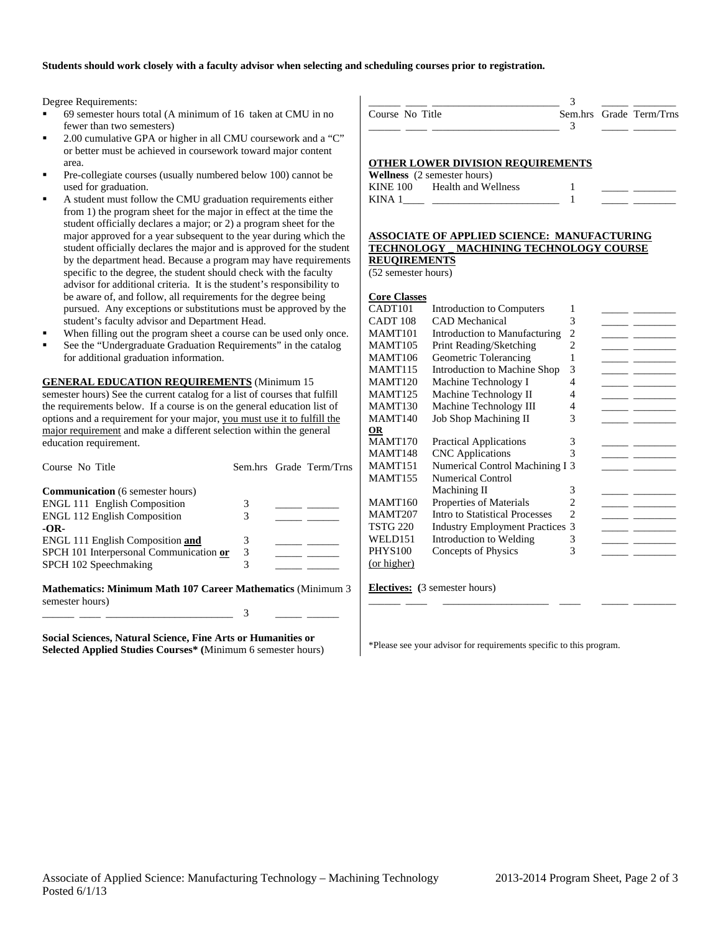### **Students should work closely with a faculty advisor when selecting and scheduling courses prior to registration.**

Degree Requirements:

- 69 semester hours total (A minimum of 16 taken at CMU in no fewer than two semesters)
- 2.00 cumulative GPA or higher in all CMU coursework and a "C" or better must be achieved in coursework toward major content area.
- Pre-collegiate courses (usually numbered below 100) cannot be used for graduation.
- A student must follow the CMU graduation requirements either from 1) the program sheet for the major in effect at the time the student officially declares a major; or 2) a program sheet for the major approved for a year subsequent to the year during which the student officially declares the major and is approved for the student by the department head. Because a program may have requirements specific to the degree, the student should check with the faculty advisor for additional criteria. It is the student's responsibility to be aware of, and follow, all requirements for the degree being pursued. Any exceptions or substitutions must be approved by the student's faculty advisor and Department Head.
- When filling out the program sheet a course can be used only once.
- See the "Undergraduate Graduation Requirements" in the catalog for additional graduation information.

**GENERAL EDUCATION REQUIREMENTS** (Minimum 15 semester hours) See the current catalog for a list of courses that fulfill the requirements below. If a course is on the general education list of

options and a requirement for your major, you must use it to fulfill the major requirement and make a different selection within the general education requirement.

| Course No Title                                                                                                                                                                                                                                                                                 |   | Sem.hrs Grade Term/Trns |
|-------------------------------------------------------------------------------------------------------------------------------------------------------------------------------------------------------------------------------------------------------------------------------------------------|---|-------------------------|
| <b>Communication</b> (6 semester hours)                                                                                                                                                                                                                                                         |   |                         |
| <b>ENGL 111 English Composition</b>                                                                                                                                                                                                                                                             |   |                         |
| <b>ENGL 112 English Composition</b>                                                                                                                                                                                                                                                             |   |                         |
| -OR-                                                                                                                                                                                                                                                                                            |   |                         |
| <b>ENGL 111 English Composition and</b>                                                                                                                                                                                                                                                         |   |                         |
| SPCH 101 Interpersonal Communication or                                                                                                                                                                                                                                                         | 3 |                         |
| SPCH 102 Speechmaking                                                                                                                                                                                                                                                                           | 3 |                         |
| $\mathbf{M}$ at $\mathbf{M}$ and $\mathbf{M}$ and $\mathbf{M}$ and $\mathbf{M}$ and $\mathbf{M}$ and $\mathbf{M}$ and $\mathbf{M}$ and $\mathbf{M}$ and $\mathbf{M}$ and $\mathbf{M}$ and $\mathbf{M}$ and $\mathbf{M}$ and $\mathbf{M}$ and $\mathbf{M}$ and $\mathbf{M}$ and $\mathbf{M}$ and |   |                         |

**Mathematics: Minimum Math 107 Career Mathematics** (Minimum 3 semester hours) \_\_\_\_\_\_ \_\_\_\_ \_\_\_\_\_\_\_\_\_\_\_\_\_\_\_\_\_\_\_\_\_\_\_\_ 3 \_\_\_\_\_ \_\_\_\_\_\_

**Social Sciences, Natural Science, Fine Arts or Humanities or Selected Applied Studies Courses\* (**Minimum 6 semester hours)

| Course No Title |  | Sem.hrs Grade Term/Trns |
|-----------------|--|-------------------------|
|                 |  |                         |

### **OTHER LOWER DIVISION REQUIREMENTS**

|                 | <b>Wellness</b> (2 semester hours) |  |  |
|-----------------|------------------------------------|--|--|
| <b>KINE 100</b> | Health and Wellness                |  |  |
| KINA 1          |                                    |  |  |

#### **ASSOCIATE OF APPLIED SCIENCE: MANUFACTURING TECHNOLOGY \_ MACHINING TECHNOLOGY COURSE REUQIREMENTS**

(52 semester hours)

| <b>Core Classes</b> |
|---------------------|
|---------------------|

| , or o Organica     |                                      |   |  |
|---------------------|--------------------------------------|---|--|
| CADT <sub>101</sub> | Introduction to Computers            | 1 |  |
| CADT <sub>108</sub> | <b>CAD</b> Mechanical                | 3 |  |
| <b>MAMT101</b>      | Introduction to Manufacturing        | 2 |  |
| <b>MAMT105</b>      | Print Reading/Sketching              | 2 |  |
| <b>MAMT106</b>      | Geometric Tolerancing                |   |  |
| <b>MAMT115</b>      | Introduction to Machine Shop         | 3 |  |
| <b>MAMT120</b>      | Machine Technology I                 | 4 |  |
| <b>MAMT125</b>      | Machine Technology II                | 4 |  |
| MAMT <sub>130</sub> | Machine Technology III               | 4 |  |
| MAMT <sub>140</sub> | <b>Job Shop Machining II</b>         | 3 |  |
| <u>OR</u>           |                                      |   |  |
| <b>MAMT170</b>      | <b>Practical Applications</b>        | 3 |  |
| <b>MAMT148</b>      | <b>CNC</b> Applications              | 3 |  |
| MAMT <sub>151</sub> | Numerical Control Machining I 3      |   |  |
| <b>MAMT155</b>      | Numerical Control                    |   |  |
|                     | Machining II                         | 3 |  |
| <b>MAMT160</b>      | Properties of Materials              | 2 |  |
| <b>MAMT207</b>      | Intro to Statistical Processes       | っ |  |
| <b>TSTG 220</b>     | <b>Industry Employment Practices</b> | 3 |  |
| WELD151             | Introduction to Welding              | 3 |  |
| <b>PHYS100</b>      | Concepts of Physics                  | 3 |  |
| (or higher)         |                                      |   |  |
|                     |                                      |   |  |

\_\_\_\_\_\_ \_\_\_\_ \_\_\_\_\_\_\_\_\_\_\_\_\_\_\_\_\_\_\_\_ \_\_\_\_ \_\_\_\_\_ \_\_\_\_\_\_\_\_

**Electives: (**3 semester hours)

\*Please see your advisor for requirements specific to this program.